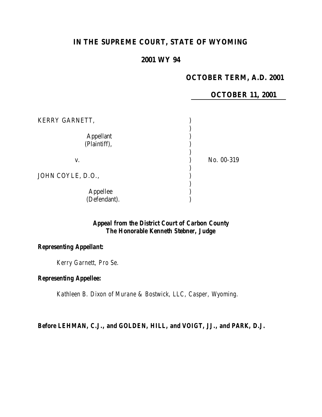# **IN THE SUPREME COURT, STATE OF WYOMING**

# **2001 WY 94**

## **OCTOBER TERM, A.D. 2001**

#### **OCTOBER 11, 2001**

| KERRY GARNETT,                   |            |
|----------------------------------|------------|
| <b>Appellant</b><br>(Plaintiff), |            |
| V.                               | No. 00-319 |
| JOHN COYLE, D.O.,                |            |
| Appellee<br>(Defendant).         |            |

## *Appeal from the District Court of Carbon County The Honorable Kenneth Stebner, Judge*

## *Representing Appellant:*

*Kerry Garnett, Pro Se.*

### *Representing Appellee:*

*Kathleen B. Dixon of Murane & Bostwick, LLC, Casper, Wyoming.*

*Before LEHMAN, C.J., and GOLDEN, HILL, and VOIGT, JJ., and PARK, D.J.*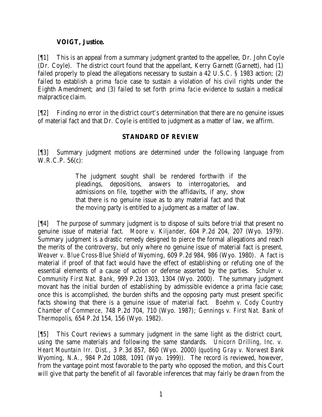## **VOIGT, Justice.**

[¶1] This is an appeal from a summary judgment granted to the appellee, Dr. John Coyle (Dr. Coyle). The district court found that the appellant, Kerry Garnett (Garnett), had (1) failed properly to plead the allegations necessary to sustain a 42 U.S.C. § 1983 action; (2) failed to establish a *prima facie* case to sustain a violation of his civil rights under the Eighth Amendment; and (3) failed to set forth *prima facie* evidence to sustain a medical malpractice claim.

[¶2] Finding no error in the district court's determination that there are no genuine issues of material fact and that Dr. Coyle is entitled to judgment as a matter of law, we affirm.

# **STANDARD OF REVIEW**

[¶3] Summary judgment motions are determined under the following language from W.R.C.P. 56(c):

> The judgment sought shall be rendered forthwith if the pleadings, depositions, answers to interrogatories, and admissions on file, together with the affidavits, if any, show that there is no genuine issue as to any material fact and that the moving party is entitled to a judgment as a matter of law.

[¶4] The purpose of summary judgment is to dispose of suits before trial that present no genuine issue of material fact. *Moore v. Kiljander*, 604 P.2d 204, 207 (Wyo. 1979). Summary judgment is a drastic remedy designed to pierce the formal allegations and reach the merits of the controversy, but only where no genuine issue of material fact is present. *Weaver v. Blue Cross-Blue Shield of Wyoming*, 609 P.2d 984, 986 (Wyo. 1980). A fact is material if proof of that fact would have the effect of establishing or refuting one of the essential elements of a cause of action or defense asserted by the parties. *Schuler v. Community First Nat. Bank*, 999 P.2d 1303, 1304 (Wyo. 2000). The summary judgment movant has the initial burden of establishing by admissible evidence a *prima facie* case; once this is accomplished, the burden shifts and the opposing party must present specific facts showing that there is a genuine issue of material fact. *Boehm v. Cody Country Chamber of Commerce*, 748 P.2d 704, 710 (Wyo. 1987); *Gennings v. First Nat. Bank of Thermopolis*, 654 P.2d 154, 156 (Wyo. 1982).

[¶5] This Court reviews a summary judgment in the same light as the district court, using the same materials and following the same standards. *Unicorn Drilling, Inc. v. Heart Mountain Irr. Dist.*, 3 P.3d 857, 860 (Wyo. 2000) (*quoting Gray v. Norwest Bank Wyoming, N.A.*, 984 P.2d 1088, 1091 (Wyo. 1999)). The record is reviewed, however, from the vantage point most favorable to the party who opposed the motion, and this Court will give that party the benefit of all favorable inferences that may fairly be drawn from the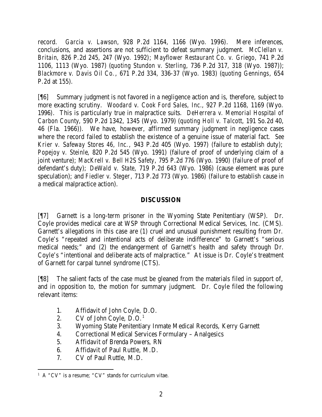record. *Garcia v. Lawson*, 928 P.2d 1164, 1166 (Wyo. 1996). Mere inferences, conclusions, and assertions are not sufficient to defeat summary judgment. *McClellan v. Britain*, 826 P.2d 245, 247 (Wyo. 1992); *Mayflower Restaurant Co. v. Griego*, 741 P.2d 1106, 1113 (Wyo. 1987) (*quoting Stundon v. Sterling*, 736 P.2d 317, 318 (Wyo. 1987)); *Blackmore v. Davis Oil Co.*, 671 P.2d 334, 336-37 (Wyo. 1983) (*quoting Gennings*, 654 P.2d at 155).

[¶6] Summary judgment is not favored in a negligence action and is, therefore, subject to more exacting scrutiny. *Woodard v. Cook Ford Sales, Inc.*, 927 P.2d 1168, 1169 (Wyo. 1996). This is particularly true in malpractice suits. *DeHerrera v. Memorial Hospital of Carbon County*, 590 P.2d 1342, 1345 (Wyo. 1979) (*quoting Holl v. Talcott*, 191 So.2d 40, 46 (Fla. 1966)). We have, however, affirmed summary judgment in negligence cases where the record failed to establish the existence of a genuine issue of material fact. *See Krier v. Safeway Stores 46, Inc.*, 943 P.2d 405 (Wyo. 1997) (failure to establish duty); *Popejoy v. Steinle*, 820 P.2d 545 (Wyo. 1991) (failure of proof of underlying claim of a joint venture); *MacKrell v. Bell H2S Safety*, 795 P.2d 776 (Wyo. 1990) (failure of proof of defendant's duty); *DeWald v. State*, 719 P.2d 643 (Wyo. 1986) (cause element was pure speculation); and *Fiedler v. Steger*, 713 P.2d 773 (Wyo. 1986) (failure to establish cause in a medical malpractice action).

### **DISCUSSION**

[¶7] Garnett is a long-term prisoner in the Wyoming State Penitentiary (WSP). Dr. Coyle provides medical care at WSP through Correctional Medical Services, Inc. (CMS). Garnett's allegations in this case are (1) cruel and unusual punishment resulting from Dr. Coyle's "repeated and intentional acts of deliberate indifference" to Garnett's "serious medical needs;" and (2) the endangerment of Garnett's health and safety through Dr. Coyle's "intentional and deliberate acts of malpractice." At issue is Dr. Coyle's treatment of Garnett for carpal tunnel syndrome (CTS).

[¶8] The salient facts of the case must be gleaned from the materials filed in support of, and in opposition to, the motion for summary judgment. Dr. Coyle filed the following relevant items:

- 1. Affidavit of John Coyle, D.O.
- 2. CV of John Coyle,  $D. O<sup>1</sup>$
- 3. Wyoming State Penitentiary Inmate Medical Records, Kerry Garnett
- 4. Correctional Medical Services Formulary Analgesics
- 5. Affidavit of Brenda Powers, RN
- 6. Affidavit of Paul Ruttle, M.D.
- 7. CV of Paul Ruttle, M.D.

 1 A "CV" is a resume; "CV" stands for curriculum vitae.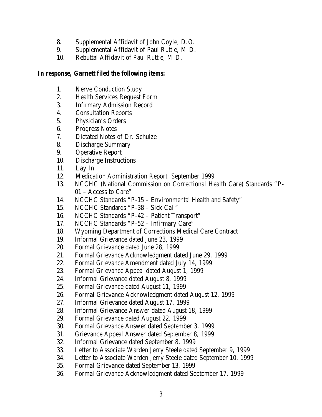- 8. Supplemental Affidavit of John Coyle, D.O.
- 9. Supplemental Affidavit of Paul Ruttle, M.D.
- 10. Rebuttal Affidavit of Paul Ruttle, M.D.

## *In response, Garnett filed the following items:*

- 1. Nerve Conduction Study
- 2. Health Services Request Form
- 3. Infirmary Admission Record
- 4. Consultation Reports
- 5. Physician's Orders
- 6. Progress Notes
- 7. Dictated Notes of Dr. Schulze
- 8. Discharge Summary
- 9. Operative Report
- 10. Discharge Instructions
- 11. Lay In
- 12. Medication Administration Report, September 1999
- 13. NCCHC (National Commission on Correctional Health Care) Standards "P-01 – Access to Care"
- 14. NCCHC Standards "P-15 Environmental Health and Safety"
- 15. NCCHC Standards "P-38 Sick Call"
- 16. NCCHC Standards "P-42 Patient Transport"
- 17. NCCHC Standards "P-52 Infirmary Care"
- 18. Wyoming Department of Corrections Medical Care Contract
- 19. Informal Grievance dated June 23, 1999
- 20. Formal Grievance dated June 28, 1999
- 21. Formal Grievance Acknowledgment dated June 29, 1999
- 22. Formal Grievance Amendment dated July 14, 1999
- 23. Formal Grievance Appeal dated August 1, 1999
- 24. Informal Grievance dated August 8, 1999
- 25. Formal Grievance dated August 11, 1999
- 26. Formal Grievance Acknowledgment dated August 12, 1999
- 27. Informal Grievance dated August 17, 1999
- 28. Informal Grievance Answer dated August 18, 1999
- 29. Formal Grievance dated August 22, 1999
- 30. Formal Grievance Answer dated September 3, 1999
- 31. Grievance Appeal Answer dated September 8, 1999
- 32. Informal Grievance dated September 8, 1999
- 33. Letter to Associate Warden Jerry Steele dated September 9, 1999
- 34. Letter to Associate Warden Jerry Steele dated September 10, 1999
- 35. Formal Grievance dated September 13, 1999
- 36. Formal Grievance Acknowledgment dated September 17, 1999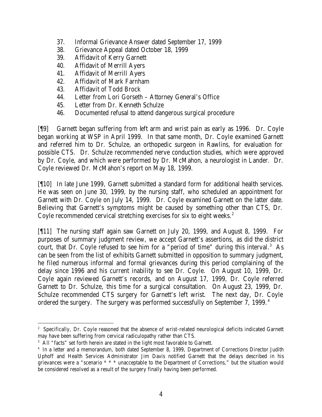- 37. Informal Grievance Answer dated September 17, 1999
- 38. Grievance Appeal dated October 18, 1999
- 39. Affidavit of Kerry Garnett
- 40. Affidavit of Merrill Ayers
- 41. Affidavit of Merrill Ayers
- 42. Affidavit of Mark Farnham
- 43. Affidavit of Todd Brock
- 44. Letter from Lori Gorseth Attorney General's Office
- 45. Letter from Dr. Kenneth Schulze
- 46. Documented refusal to attend dangerous surgical procedure

[¶9] Garnett began suffering from left arm and wrist pain as early as 1996. Dr. Coyle began working at WSP in April 1999. In that same month, Dr. Coyle examined Garnett and referred him to Dr. Schulze, an orthopedic surgeon in Rawlins, for evaluation for possible CTS. Dr. Schulze recommended nerve conduction studies, which were approved by Dr. Coyle, and which were performed by Dr. McMahon, a neurologist in Lander. Dr. Coyle reviewed Dr. McMahon's report on May 18, 1999.

[¶10] In late June 1999, Garnett submitted a standard form for additional health services. He was seen on June 30, 1999, by the nursing staff, who scheduled an appointment for Garnett with Dr. Coyle on July 14, 1999. Dr. Coyle examined Garnett on the latter date. Believing that Garnett's symptoms might be caused by something other than CTS, Dr. Coyle recommended cervical stretching exercises for six to eight weeks.<sup>2</sup>

[¶11] The nursing staff again saw Garnett on July 20, 1999, and August 8, 1999. For purposes of summary judgment review, we accept Garnett's assertions, as did the district court, that Dr. Coyle refused to see him for a "period of time" during this interval.<sup>3</sup> As can be seen from the list of exhibits Garnett submitted in opposition to summary judgment, he filed numerous informal and formal grievances during this period complaining of the delay since 1996 and his current inability to see Dr. Coyle. On August 10, 1999, Dr. Coyle again reviewed Garnett's records, and on August 17, 1999, Dr. Coyle referred Garnett to Dr. Schulze, this time for a surgical consultation. On August 23, 1999, Dr. Schulze recommended CTS surgery for Garnett's left wrist. The next day, Dr. Coyle ordered the surgery. The surgery was performed successfully on September 7, 1999.<sup>4</sup>

<sup>&</sup>lt;sup>2</sup> Specifically, Dr. Coyle reasoned that the absence of wrist-related neurological deficits indicated Garnett may have been suffering from cervical radiculopathy rather than CTS.

<sup>&</sup>lt;sup>3</sup> All "facts" set forth herein are stated in the light most favorable to Garnett.

<sup>4</sup> In a letter and a memorandum, both dated September 8, 1999, Department of Corrections Director Judith Uphoff and Health Services Administrator Jim Davis notified Garnett that the delays described in his grievances were a "scenario \* \* \* unacceptable to the Department of Corrections," but the situation would be considered resolved as a result of the surgery finally having been performed.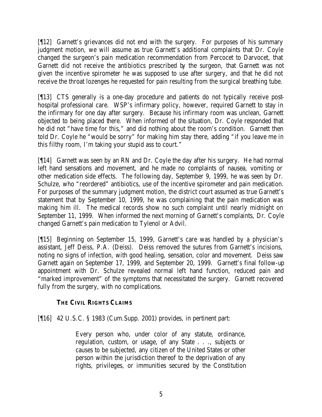[¶12] Garnett's grievances did not end with the surgery. For purposes of his summary judgment motion, we will assume as true Garnett's additional complaints that Dr. Coyle changed the surgeon's pain medication recommendation from Percocet to Darvocet, that Garnett did not receive the antibiotics prescribed by the surgeon, that Garnett was not given the incentive spirometer he was supposed to use after surgery, and that he did not receive the throat lozenges he requested for pain resulting from the surgical breathing tube.

[¶13] CTS generally is a one-day procedure and patients do not typically receive posthospital professional care. WSP's infirmary policy, however, required Garnett to stay in the infirmary for one day after surgery. Because his infirmary room was unclean, Garnett objected to being placed there. When informed of the situation, Dr. Coyle responded that he did not "have time for this," and did nothing about the room's condition. Garnett then told Dr. Coyle he "would be sorry" for making him stay there, adding "if you leave me in this filthy room, I'm taking your stupid ass to court."

[¶14] Garnett was seen by an RN and Dr. Coyle the day after his surgery. He had normal left hand sensations and movement, and he made no complaints of nausea, vomiting or other medication side effects. The following day, September 9, 1999, he was seen by Dr. Schulze, who "reordered" antibiotics, use of the incentive spirometer and pain medication. For purposes of the summary judgment motion, the district court assumed as true Garnett's statement that by September 10, 1999, he was complaining that the pain medication was making him ill. The medical records show no such complaint until nearly midnight on September 11, 1999. When informed the next morning of Garnett's complaints, Dr. Coyle changed Garnett's pain medication to Tylenol or Advil.

[¶15] Beginning on September 15, 1999, Garnett's care was handled by a physician's assistant, Jeff Deiss, P.A. (Deiss). Deiss removed the sutures from Garnett's incisions, noting no signs of infection, with good healing, sensation, color and movement. Deiss saw Garnett again on September 17, 1999, and September 20, 1999. Garnett's final follow-up appointment with Dr. Schulze revealed normal left hand function, reduced pain and "marked improvement" of the symptoms that necessitated the surgery. Garnett recovered fully from the surgery, with no complications.

# **THE CIVIL RIGHTS CLAIMS**

[¶16] 42 U.S.C. § 1983 (Cum.Supp. 2001) provides, in pertinent part:

Every person who, under color of any statute, ordinance, regulation, custom, or usage, of any State . . ., subjects or causes to be subjected, any citizen of the United States or other person within the jurisdiction thereof to the deprivation of any rights, privileges, or immunities secured by the Constitution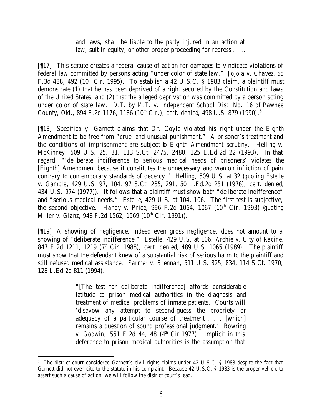and laws, shall be liable to the party injured in an action at law, suit in equity, or other proper proceeding for redress . . ..

[¶17] This statute creates a federal cause of action for damages to vindicate violations of federal law committed by persons acting "under color of state law." *Jojola v. Chavez*, 55 F.3d 488, 492 ( $10^{th}$  Cir. 1995). To establish a 42 U.S.C. § 1983 claim, a plaintiff must demonstrate (1) that he has been deprived of a right secured by the Constitution and laws of the United States; and (2) that the alleged deprivation was committed by a person acting under color of state law. *D.T. by M.T. v. Independent School Dist. No. 16 of Pawnee County, Okl.*, 894 F.2d 1176, 1186 (10<sup>th</sup> Cir.), *cert. denied*, 498 U.S. 879 (1990).<sup>5</sup>

[¶18] Specifically, Garnett claims that Dr. Coyle violated his right under the Eighth Amendment to be free from "cruel and unusual punishment." A prisoner's treatment and the conditions of imprisonment are subject to Eighth Amendment scrutiny. *Helling v. McKinney*, 509 U.S. 25, 31, 113 S.Ct. 2475, 2480, 125 L.Ed.2d 22 (1993). In that regard, "'deliberate indifference to serious medical needs of prisoners' violates the [Eighth] Amendment because it constitutes the unnecessary and wanton infliction of pain contrary to contemporary standards of decency." *Helling*, 509 U.S. at 32 (*quoting Estelle v. Gamble*, 429 U.S. 97, 104, 97 S.Ct. 285, 291, 50 L.Ed.2d 251 (1976), *cert. denied*, 434 U.S. 974 (1977)). It follows that a plaintiff must show both "deliberate indifference" and "serious medical needs." *Estelle*, 429 U.S. at 104, 106. The first test is subjective, the second objective. *Handy v. Price*, 996 F.2d 1064, 1067 (10<sup>th</sup> Cir. 1993) (*quoting Miller v. Glanz*, 948 F.2d 1562, 1569 (10<sup>th</sup> Cir. 1991)).

[¶19] A showing of negligence, indeed even gross negligence, does not amount to a showing of "deliberate indifference." *Estelle*, 429 U.S. at 106; *Archie v. City of Racine*, 847 F.2d 1211, 1219 (7th Cir. 1988), *cert. denied*, 489 U.S. 1065 (1989). The plaintiff must show that the defendant knew of a substantial risk of serious harm to the plaintiff and still refused medical assistance. *Farmer v. Brennan*, 511 U.S. 825, 834, 114 S.Ct. 1970, 128 L.Ed.2d 811 (1994).

> "[The test for deliberate indifference] affords considerable latitude to prison medical authorities in the diagnosis and treatment of medical problems of inmate patients. Courts will 'disavow any attempt to second-guess the propriety or adequacy of a particular course of treatment . . . [which] remains a question of sound professional judgment.' *Bowring v. Godwin,* 551 F.2d 44, 48 (4<sup>th</sup> Cir.1977). Implicit in this deference to prison medical authorities is the assumption that

<sup>&</sup>lt;sup>5</sup> The district court considered Garnett's civil rights claims under 42 U.S.C. § 1983 despite the fact that Garnett did not even cite to the statute in his complaint. Because 42 U.S.C. § 1983 is the proper vehicle to assert such a cause of action, we will follow the district court's lead.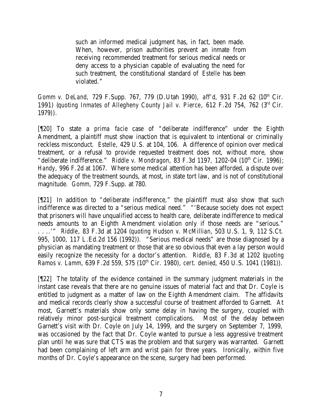such an informed medical judgment has, in fact, been made. When, however, prison authorities prevent an inmate from receiving recommended treatment for serious medical needs or deny access to a physician capable of evaluating the need for such treatment, the constitutional standard of *Estelle* has been violated."

*Gomm v. DeLand, 729 F.Supp. 767, 779 (D.Utah 1990), aff'd, 931 F.2d 62 (10<sup>th</sup> Cir.* 1991) (*quoting Inmates of Allegheny County Jail v. Pierce*, 612 F.2d 754, 762 (3rd Cir. 1979)).

[¶20] To state a *prima facie* case of "deliberate indifference" under the Eighth Amendment, a plaintiff must show inaction that is equivalent to intentional or criminally reckless misconduct. *Estelle*, 429 U.S. at 104, 106. A difference of opinion over medical treatment, or a refusal to provide requested treatment does not, without more, show "deliberate indifference." *Riddle v. Mondragon*, 83 F.3d 1197, 1202-04  $(10<sup>th</sup>$  Cir. 1996); *Handy*, 996 F.2d at 1067. Where some medical attention has been afforded, a dispute over the adequacy of the treatment sounds, at most, in state tort law, and is not of constitutional magnitude. *Gomm,* 729 F.Supp. at 780.

[¶21] In addition to "deliberate indifference," the plaintiff must also show that such indifference was directed to a "serious medical need." "'Because society does not expect that prisoners will have unqualified access to health care, deliberate indifference to medical needs amounts to an Eighth Amendment violation only if those needs are "serious." . . ..'" *Riddle*, 83 F.3d at 1204 (*quoting Hudson v. McMillian*, 503 U.S. 1, 9, 112 S.Ct. 995, 1000, 117 L.Ed.2d 156 (1992)). "Serious medical needs" are those diagnosed by a physician as mandating treatment or those that are so obvious that even a lay person would easily recognize the necessity for a doctor's attention. *Riddle*, 83 F.3d at 1202 (*quoting Ramos v. Lamm, 639 F.2d 559, 575 (10<sup>th</sup> Cir. 1980), <i>cert. denied*, 450 U.S. 1041 (1981)).

[¶22] The totality of the evidence contained in the summary judgment materials in the instant case reveals that there are no genuine issues of material fact and that Dr. Coyle is entitled to judgment as a matter of law on the Eighth Amendment claim. The affidavits and medical records clearly show a successful course of treatment afforded to Garnett. At most, Garnett's materials show only some delay in having the surgery, coupled with relatively minor post-surgical treatment complications. Most of the delay between Garnett's visit with Dr. Coyle on July 14, 1999, and the surgery on September 7, 1999, was occasioned by the fact that Dr. Coyle wanted to pursue a less aggressive treatment plan until he was sure that CTS was the problem and that surgery was warranted. Garnett had been complaining of left arm and wrist pain for three years. Ironically, within five months of Dr. Coyle's appearance on the scene, surgery had been performed.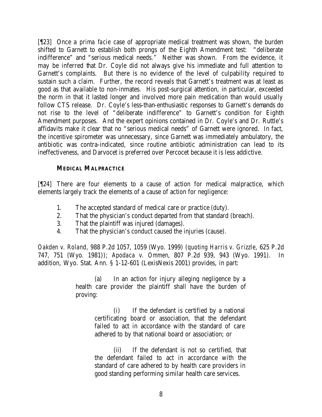[¶23] Once a *prima facie* case of appropriate medical treatment was shown, the burden shifted to Garnett to establish both prongs of the Eighth Amendment test: "deliberate indifference" and "serious medical needs." Neither was shown. From the evidence, it may be inferred that Dr. Coyle did not always give his immediate and full attention to Garnett's complaints. But there is no evidence of the level of culpability required to sustain such a claim. Further, the record reveals that Garnett's treatment was at least as good as that available to non-inmates. His post-surgical attention, in particular, exceeded the norm in that it lasted longer and involved more pain medication than would usually follow CTS release. Dr. Coyle's less-than-enthusiastic responses to Garnett's demands do not rise to the level of "deliberate indifference" to Garnett's condition for Eighth Amendment purposes. And the expert opinions contained in Dr. Coyle's and Dr. Ruttle's affidavits make it clear that no "serious medical needs" of Garnett were ignored. In fact, the incentive spirometer was unnecessary, since Garnett was immediately ambulatory, the antibiotic was contra-indicated, since routine antibiotic administration can lead to its ineffectiveness, and Darvocet is preferred over Percocet because it is less addictive.

### **MEDICAL MALPRACTICE**

[¶24] There are four elements to a cause of action for medical malpractice, which elements largely track the elements of a cause of action for negligence:

- 1. The accepted standard of medical care or practice (duty).
- 2. That the physician's conduct departed from that standard (breach).
- 3. That the plaintiff was injured (damages).
- 4. That the physician's conduct caused the injuries (cause).

*Oakden v. Roland*, 988 P.2d 1057, 1059 (Wyo. 1999) (*quoting Harris v. Grizzle*, 625 P.2d 747, 751 (Wyo. 1981)); *Apodaca v. Ommen*, 807 P.2d 939, 943 (Wyo. 1991). In addition, Wyo. Stat. Ann. § 1-12-601 (LexisNexis 2001) provides, in part:

> (a) In an action for injury alleging negligence by a health care provider the plaintiff shall have the burden of proving:

> > (i) If the defendant is certified by a national certificating board or association, that the defendant failed to act in accordance with the standard of care adhered to by that national board or association; or

> > (ii) If the defendant is not so certified, that the defendant failed to act in accordance with the standard of care adhered to by health care providers in good standing performing similar health care services.